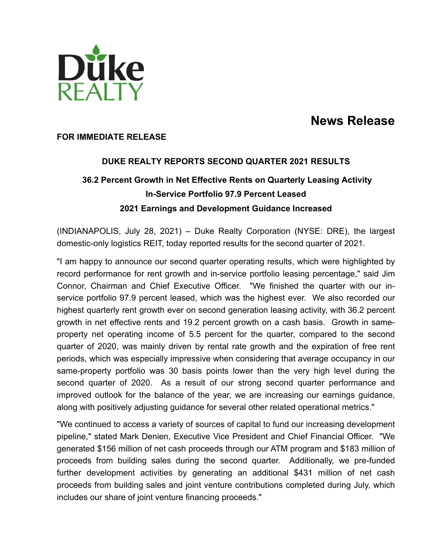

# **News Release**

#### **FOR IMMEDIATE RELEASE**

# **DUKE REALTY REPORTS SECOND QUARTER 2021 RESULTS 36.2 Percent Growth in Net Effective Rents on Quarterly Leasing Activity In-Service Portfolio 97.9 Percent Leased 2021 Earnings and Development Guidance Increased**

(INDIANAPOLIS, July 28, 2021) – Duke Realty Corporation (NYSE: DRE), the largest domestic-only logistics REIT, today reported results for the second quarter of 2021.

"I am happy to announce our second quarter operating results, which were highlighted by record performance for rent growth and in-service portfolio leasing percentage," said Jim Connor, Chairman and Chief Executive Officer. "We finished the quarter with our inservice portfolio 97.9 percent leased, which was the highest ever. We also recorded our highest quarterly rent growth ever on second generation leasing activity, with 36.2 percent growth in net effective rents and 19.2 percent growth on a cash basis. Growth in sameproperty net operating income of 5.5 percent for the quarter, compared to the second quarter of 2020, was mainly driven by rental rate growth and the expiration of free rent periods, which was especially impressive when considering that average occupancy in our same-property portfolio was 30 basis points lower than the very high level during the second quarter of 2020. As a result of our strong second quarter performance and improved outlook for the balance of the year, we are increasing our earnings guidance, along with positively adjusting guidance for several other related operational metrics."

"We continued to access a variety of sources of capital to fund our increasing development pipeline," stated Mark Denien, Executive Vice President and Chief Financial Officer. "We generated \$156 million of net cash proceeds through our ATM program and \$183 million of proceeds from building sales during the second quarter. Additionally, we pre-funded further development activities by generating an additional \$431 million of net cash proceeds from building sales and joint venture contributions completed during July, which includes our share of joint venture financing proceeds."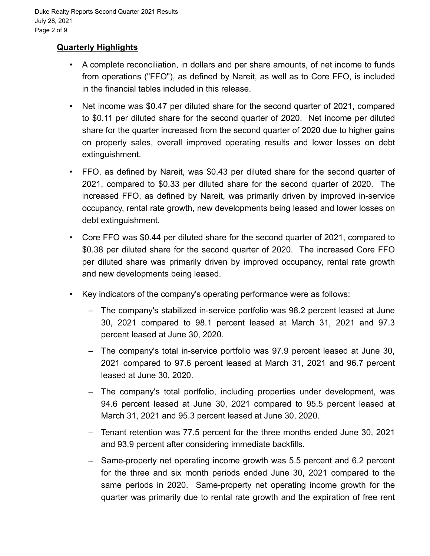# **Quarterly Highlights**

- A complete reconciliation, in dollars and per share amounts, of net income to funds from operations ("FFO"), as defined by Nareit, as well as to Core FFO, is included in the financial tables included in this release.
- Net income was \$0.47 per diluted share for the second quarter of 2021, compared to \$0.11 per diluted share for the second quarter of 2020. Net income per diluted share for the quarter increased from the second quarter of 2020 due to higher gains on property sales, overall improved operating results and lower losses on debt extinguishment.
- FFO, as defined by Nareit, was \$0.43 per diluted share for the second quarter of 2021, compared to \$0.33 per diluted share for the second quarter of 2020. The increased FFO, as defined by Nareit, was primarily driven by improved in-service occupancy, rental rate growth, new developments being leased and lower losses on debt extinguishment.
- Core FFO was \$0.44 per diluted share for the second quarter of 2021, compared to \$0.38 per diluted share for the second quarter of 2020. The increased Core FFO per diluted share was primarily driven by improved occupancy, rental rate growth and new developments being leased.
- Key indicators of the company's operating performance were as follows:
	- The company's stabilized in-service portfolio was 98.2 percent leased at June 30, 2021 compared to 98.1 percent leased at March 31, 2021 and 97.3 percent leased at June 30, 2020.
	- The company's total in-service portfolio was 97.9 percent leased at June 30, 2021 compared to 97.6 percent leased at March 31, 2021 and 96.7 percent leased at June 30, 2020.
	- The company's total portfolio, including properties under development, was 94.6 percent leased at June 30, 2021 compared to 95.5 percent leased at March 31, 2021 and 95.3 percent leased at June 30, 2020.
	- Tenant retention was 77.5 percent for the three months ended June 30, 2021 and 93.9 percent after considering immediate backfills.
	- Same-property net operating income growth was 5.5 percent and 6.2 percent for the three and six month periods ended June 30, 2021 compared to the same periods in 2020. Same-property net operating income growth for the quarter was primarily due to rental rate growth and the expiration of free rent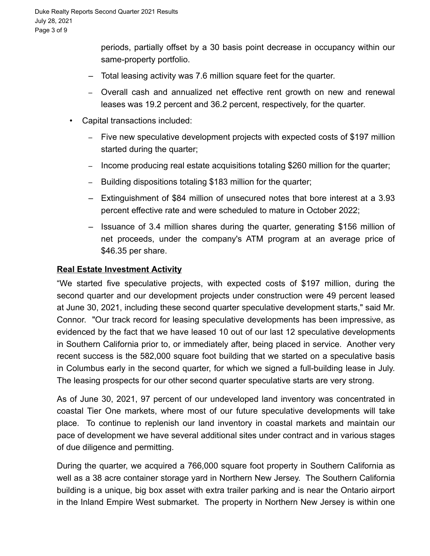periods, partially offset by a 30 basis point decrease in occupancy within our same-property portfolio.

- Total leasing activity was 7.6 million square feet for the quarter.
- Overall cash and annualized net effective rent growth on new and renewal leases was 19.2 percent and 36.2 percent, respectively, for the quarter.
- Capital transactions included:
	- Five new speculative development projects with expected costs of \$197 million started during the quarter;
	- Income producing real estate acquisitions totaling \$260 million for the quarter;
	- Building dispositions totaling \$183 million for the quarter;
	- Extinguishment of \$84 million of unsecured notes that bore interest at a 3.93 percent effective rate and were scheduled to mature in October 2022;
	- Issuance of 3.4 million shares during the quarter, generating \$156 million of net proceeds, under the company's ATM program at an average price of \$46.35 per share.

### **Real Estate Investment Activity**

"We started five speculative projects, with expected costs of \$197 million, during the second quarter and our development projects under construction were 49 percent leased at June 30, 2021, including these second quarter speculative development starts," said Mr. Connor. "Our track record for leasing speculative developments has been impressive, as evidenced by the fact that we have leased 10 out of our last 12 speculative developments in Southern California prior to, or immediately after, being placed in service. Another very recent success is the 582,000 square foot building that we started on a speculative basis in Columbus early in the second quarter, for which we signed a full-building lease in July. The leasing prospects for our other second quarter speculative starts are very strong.

As of June 30, 2021, 97 percent of our undeveloped land inventory was concentrated in coastal Tier One markets, where most of our future speculative developments will take place. To continue to replenish our land inventory in coastal markets and maintain our pace of development we have several additional sites under contract and in various stages of due diligence and permitting.

During the quarter, we acquired a 766,000 square foot property in Southern California as well as a 38 acre container storage yard in Northern New Jersey. The Southern California building is a unique, big box asset with extra trailer parking and is near the Ontario airport in the Inland Empire West submarket. The property in Northern New Jersey is within one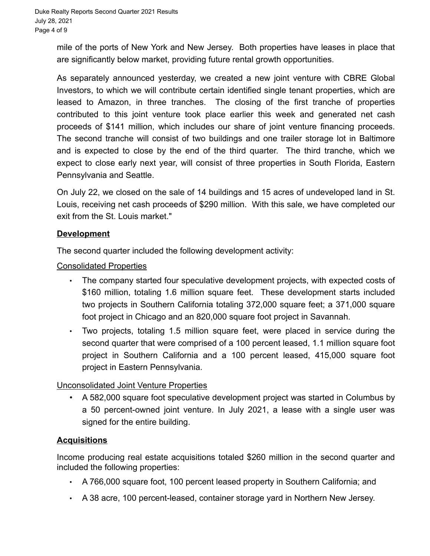mile of the ports of New York and New Jersey. Both properties have leases in place that are significantly below market, providing future rental growth opportunities.

As separately announced yesterday, we created a new joint venture with CBRE Global Investors, to which we will contribute certain identified single tenant properties, which are leased to Amazon, in three tranches. The closing of the first tranche of properties contributed to this joint venture took place earlier this week and generated net cash proceeds of \$141 million, which includes our share of joint venture financing proceeds. The second tranche will consist of two buildings and one trailer storage lot in Baltimore and is expected to close by the end of the third quarter. The third tranche, which we expect to close early next year, will consist of three properties in South Florida, Eastern Pennsylvania and Seattle.

On July 22, we closed on the sale of 14 buildings and 15 acres of undeveloped land in St. Louis, receiving net cash proceeds of \$290 million. With this sale, we have completed our exit from the St. Louis market."

# **Development**

The second quarter included the following development activity:

### Consolidated Properties

- The company started four speculative development projects, with expected costs of \$160 million, totaling 1.6 million square feet. These development starts included two projects in Southern California totaling 372,000 square feet; a 371,000 square foot project in Chicago and an 820,000 square foot project in Savannah.
- Two projects, totaling 1.5 million square feet, were placed in service during the second quarter that were comprised of a 100 percent leased, 1.1 million square foot project in Southern California and a 100 percent leased, 415,000 square foot project in Eastern Pennsylvania.

# Unconsolidated Joint Venture Properties

• A 582,000 square foot speculative development project was started in Columbus by a 50 percent-owned joint venture. In July 2021, a lease with a single user was signed for the entire building.

# **Acquisitions**

Income producing real estate acquisitions totaled \$260 million in the second quarter and included the following properties:

- A 766,000 square foot, 100 percent leased property in Southern California; and
- A 38 acre, 100 percent-leased, container storage yard in Northern New Jersey.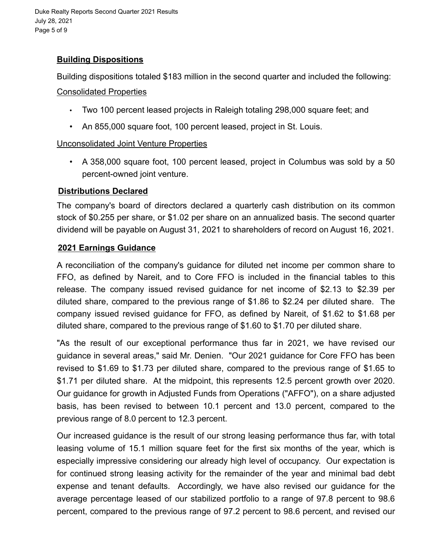Duke Realty Reports Second Quarter 2021 Results July 28, 2021 Page 5 of 9

# **Building Dispositions**

Building dispositions totaled \$183 million in the second quarter and included the following:

#### Consolidated Properties

- Two 100 percent leased projects in Raleigh totaling 298,000 square feet; and
- An 855,000 square foot, 100 percent leased, project in St. Louis.

# Unconsolidated Joint Venture Properties

• A 358,000 square foot, 100 percent leased, project in Columbus was sold by a 50 percent-owned joint venture.

### **Distributions Declared**

The company's board of directors declared a quarterly cash distribution on its common stock of \$0.255 per share, or \$1.02 per share on an annualized basis. The second quarter dividend will be payable on August 31, 2021 to shareholders of record on August 16, 2021.

### **2021 Earnings Guidance**

A reconciliation of the company's guidance for diluted net income per common share to FFO, as defined by Nareit, and to Core FFO is included in the financial tables to this release. The company issued revised guidance for net income of \$2.13 to \$2.39 per diluted share, compared to the previous range of \$1.86 to \$2.24 per diluted share. The company issued revised guidance for FFO, as defined by Nareit, of \$1.62 to \$1.68 per diluted share, compared to the previous range of \$1.60 to \$1.70 per diluted share.

"As the result of our exceptional performance thus far in 2021, we have revised our guidance in several areas," said Mr. Denien. "Our 2021 guidance for Core FFO has been revised to \$1.69 to \$1.73 per diluted share, compared to the previous range of \$1.65 to \$1.71 per diluted share. At the midpoint, this represents 12.5 percent growth over 2020. Our guidance for growth in Adjusted Funds from Operations ("AFFO"), on a share adjusted basis, has been revised to between 10.1 percent and 13.0 percent, compared to the previous range of 8.0 percent to 12.3 percent.

Our increased guidance is the result of our strong leasing performance thus far, with total leasing volume of 15.1 million square feet for the first six months of the year, which is especially impressive considering our already high level of occupancy. Our expectation is for continued strong leasing activity for the remainder of the year and minimal bad debt expense and tenant defaults. Accordingly, we have also revised our guidance for the average percentage leased of our stabilized portfolio to a range of 97.8 percent to 98.6 percent, compared to the previous range of 97.2 percent to 98.6 percent, and revised our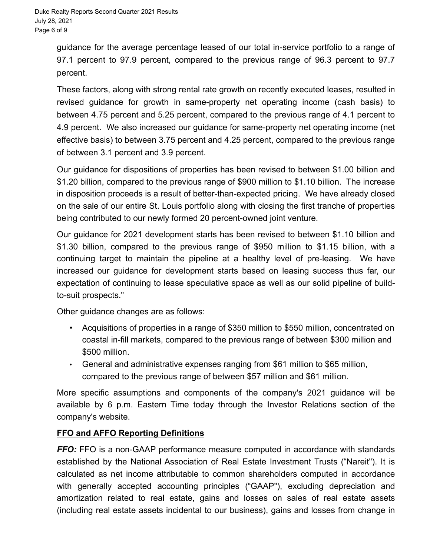guidance for the average percentage leased of our total in-service portfolio to a range of 97.1 percent to 97.9 percent, compared to the previous range of 96.3 percent to 97.7 percent.

These factors, along with strong rental rate growth on recently executed leases, resulted in revised guidance for growth in same-property net operating income (cash basis) to between 4.75 percent and 5.25 percent, compared to the previous range of 4.1 percent to 4.9 percent. We also increased our guidance for same-property net operating income (net effective basis) to between 3.75 percent and 4.25 percent, compared to the previous range of between 3.1 percent and 3.9 percent.

Our guidance for dispositions of properties has been revised to between \$1.00 billion and \$1.20 billion, compared to the previous range of \$900 million to \$1.10 billion. The increase in disposition proceeds is a result of better-than-expected pricing. We have already closed on the sale of our entire St. Louis portfolio along with closing the first tranche of properties being contributed to our newly formed 20 percent-owned joint venture.

Our guidance for 2021 development starts has been revised to between \$1.10 billion and \$1.30 billion, compared to the previous range of \$950 million to \$1.15 billion, with a continuing target to maintain the pipeline at a healthy level of pre-leasing. We have increased our guidance for development starts based on leasing success thus far, our expectation of continuing to lease speculative space as well as our solid pipeline of buildto-suit prospects."

Other guidance changes are as follows:

- Acquisitions of properties in a range of \$350 million to \$550 million, concentrated on coastal in-fill markets, compared to the previous range of between \$300 million and \$500 million.
- General and administrative expenses ranging from \$61 million to \$65 million, compared to the previous range of between \$57 million and \$61 million.

More specific assumptions and components of the company's 2021 guidance will be available by 6 p.m. Eastern Time today through the Investor Relations section of the company's website.

# **FFO and AFFO Reporting Definitions**

*FFO:* FFO is a non-GAAP performance measure computed in accordance with standards established by the National Association of Real Estate Investment Trusts ("Nareit"). It is calculated as net income attributable to common shareholders computed in accordance with generally accepted accounting principles ("GAAP"), excluding depreciation and amortization related to real estate, gains and losses on sales of real estate assets (including real estate assets incidental to our business), gains and losses from change in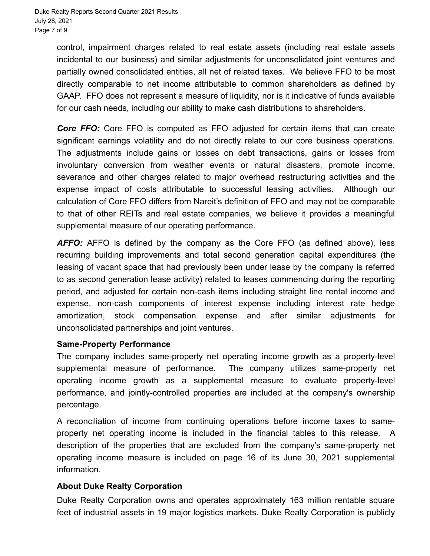control, impairment charges related to real estate assets (including real estate assets incidental to our business) and similar adjustments for unconsolidated joint ventures and partially owned consolidated entities, all net of related taxes. We believe FFO to be most directly comparable to net income attributable to common shareholders as defined by GAAP. FFO does not represent a measure of liquidity, nor is it indicative of funds available for our cash needs, including our ability to make cash distributions to shareholders.

*Core FFO:* Core FFO is computed as FFO adjusted for certain items that can create significant earnings volatility and do not directly relate to our core business operations. The adjustments include gains or losses on debt transactions, gains or losses from involuntary conversion from weather events or natural disasters, promote income, severance and other charges related to major overhead restructuring activities and the expense impact of costs attributable to successful leasing activities. Although our calculation of Core FFO differs from Nareit's definition of FFO and may not be comparable to that of other REITs and real estate companies, we believe it provides a meaningful supplemental measure of our operating performance.

AFFO: AFFO is defined by the company as the Core FFO (as defined above), less recurring building improvements and total second generation capital expenditures (the leasing of vacant space that had previously been under lease by the company is referred to as second generation lease activity) related to leases commencing during the reporting period, and adjusted for certain non-cash items including straight line rental income and expense, non-cash components of interest expense including interest rate hedge amortization, stock compensation expense and after similar adjustments for unconsolidated partnerships and joint ventures.

#### **Same-Property Performance**

The company includes same-property net operating income growth as a property-level supplemental measure of performance. The company utilizes same-property net operating income growth as a supplemental measure to evaluate property-level performance, and jointly-controlled properties are included at the company's ownership percentage.

A reconciliation of income from continuing operations before income taxes to sameproperty net operating income is included in the financial tables to this release. A description of the properties that are excluded from the company's same-property net operating income measure is included on page 16 of its June 30, 2021 supplemental information.

#### **About Duke Realty Corporation**

Duke Realty Corporation owns and operates approximately 163 million rentable square feet of industrial assets in 19 major logistics markets. Duke Realty Corporation is publicly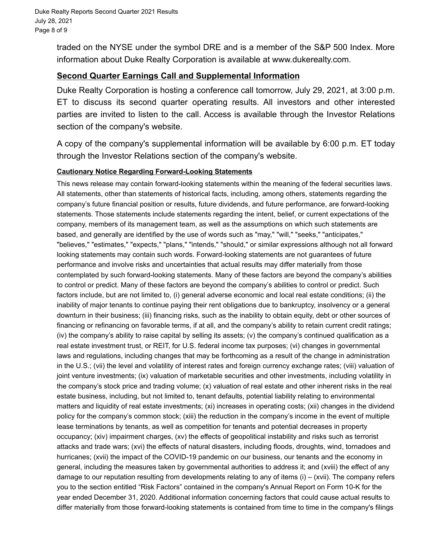traded on the NYSE under the symbol DRE and is a member of the S&P 500 Index. More information about Duke Realty Corporation is available at www.dukerealty.com.

#### **Second Quarter Earnings Call and Supplemental Information**

Duke Realty Corporation is hosting a conference call tomorrow, July 29, 2021, at 3:00 p.m. ET to discuss its second quarter operating results. All investors and other interested parties are invited to listen to the call. Access is available through the Investor Relations section of the company's website.

A copy of the company's supplemental information will be available by 6:00 p.m. ET today through the Investor Relations section of the company's website.

#### **Cautionary Notice Regarding Forward-Looking Statements**

This news release may contain forward-looking statements within the meaning of the federal securities laws. All statements, other than statements of historical facts, including, among others, statements regarding the company's future financial position or results, future dividends, and future performance, are forward-looking statements. Those statements include statements regarding the intent, belief, or current expectations of the company, members of its management team, as well as the assumptions on which such statements are based, and generally are identified by the use of words such as "may," "will," "seeks," "anticipates," "believes," "estimates," "expects," "plans," "intends," "should," or similar expressions although not all forward looking statements may contain such words. Forward-looking statements are not guarantees of future performance and involve risks and uncertainties that actual results may differ materially from those contemplated by such forward-looking statements. Many of these factors are beyond the company's abilities to control or predict. Many of these factors are beyond the company's abilities to control or predict. Such factors include, but are not limited to, (i) general adverse economic and local real estate conditions; (ii) the inability of major tenants to continue paying their rent obligations due to bankruptcy, insolvency or a general downturn in their business; (iii) financing risks, such as the inability to obtain equity, debt or other sources of financing or refinancing on favorable terms, if at all, and the company's ability to retain current credit ratings; (iv) the company's ability to raise capital by selling its assets; (v) the company's continued qualification as a real estate investment trust, or REIT, for U.S. federal income tax purposes; (vi) changes in governmental laws and regulations, including changes that may be forthcoming as a result of the change in administration in the U.S.; (vii) the level and volatility of interest rates and foreign currency exchange rates; (viii) valuation of joint venture investments; (ix) valuation of marketable securities and other investments, including volatility in the company's stock price and trading volume; (x) valuation of real estate and other inherent risks in the real estate business, including, but not limited to, tenant defaults, potential liability relating to environmental matters and liquidity of real estate investments; (xi) increases in operating costs; (xii) changes in the dividend policy for the company's common stock; (xiii) the reduction in the company's income in the event of multiple lease terminations by tenants, as well as competition for tenants and potential decreases in property occupancy; (xiv) impairment charges, (xv) the effects of geopolitical instability and risks such as terrorist attacks and trade wars; (xvi) the effects of natural disasters, including floods, droughts, wind, tornadoes and hurricanes; (xvii) the impact of the COVID-19 pandemic on our business, our tenants and the economy in general, including the measures taken by governmental authorities to address it; and (xviii) the effect of any damage to our reputation resulting from developments relating to any of items (i) – (xvii). The company refers you to the section entitled "Risk Factors" contained in the company's Annual Report on Form 10-K for the year ended December 31, 2020. Additional information concerning factors that could cause actual results to differ materially from those forward-looking statements is contained from time to time in the company's filings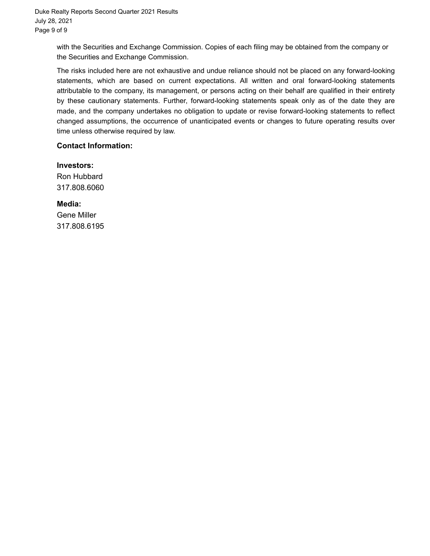with the Securities and Exchange Commission. Copies of each filing may be obtained from the company or the Securities and Exchange Commission.

The risks included here are not exhaustive and undue reliance should not be placed on any forward-looking statements, which are based on current expectations. All written and oral forward-looking statements attributable to the company, its management, or persons acting on their behalf are qualified in their entirety by these cautionary statements. Further, forward-looking statements speak only as of the date they are made, and the company undertakes no obligation to update or revise forward-looking statements to reflect changed assumptions, the occurrence of unanticipated events or changes to future operating results over time unless otherwise required by law.

#### **Contact Information:**

 **Investors:** Ron Hubbard 317.808.6060

**Media:** Gene Miller 317.808.6195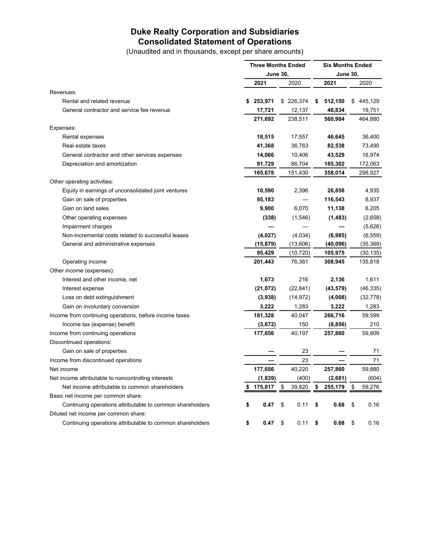### **Duke Realty Corporation and Subsidiaries Consolidated Statement of Operations**

(Unaudited and in thousands, except per share amounts)

|                                                           | <b>Three Months Ended</b><br><b>June 30,</b> |           |    |           | <b>Six Months Ended</b> |           |    |           |  |  |
|-----------------------------------------------------------|----------------------------------------------|-----------|----|-----------|-------------------------|-----------|----|-----------|--|--|
|                                                           |                                              |           |    |           | <b>June 30,</b>         |           |    |           |  |  |
|                                                           |                                              | 2021      |    | 2020      |                         | 2021      |    | 2020      |  |  |
| Revenues:                                                 |                                              |           |    |           |                         |           |    |           |  |  |
| Rental and related revenue                                |                                              | \$253,971 |    | \$226,374 | \$                      | 512,150   |    | \$445,129 |  |  |
| General contractor and service fee revenue                |                                              | 17,721    |    | 12,137    |                         | 48,834    |    | 19,751    |  |  |
|                                                           |                                              | 271,692   |    | 238,511   |                         | 560,984   |    | 464,880   |  |  |
| Expenses:                                                 |                                              |           |    |           |                         |           |    |           |  |  |
| Rental expenses                                           |                                              | 18,515    |    | 17,557    |                         | 46,645    |    | 36,400    |  |  |
| Real estate taxes                                         |                                              | 41,368    |    | 36,763    |                         | 82,538    |    | 73,490    |  |  |
| General contractor and other services expenses            |                                              | 14,066    |    | 10,406    |                         | 43,529    |    | 16,974    |  |  |
| Depreciation and amortization                             |                                              | 91,729    |    | 86,704    |                         | 185,302   |    | 172,063   |  |  |
|                                                           |                                              | 165,678   |    | 151,430   |                         | 358,014   |    | 298,927   |  |  |
| Other operating activities:                               |                                              |           |    |           |                         |           |    |           |  |  |
| Equity in earnings of unconsolidated joint ventures       |                                              | 10,590    |    | 2,396     |                         | 26,858    |    | 4,935     |  |  |
| Gain on sale of properties                                |                                              | 95,183    |    |           |                         | 116,543   |    | 8,937     |  |  |
| Gain on land sales                                        |                                              | 9,900     |    | 6,070     |                         | 11,138    |    | 6,205     |  |  |
| Other operating expenses                                  |                                              | (338)     |    | (1, 546)  |                         | (1, 483)  |    | (2,658)   |  |  |
| Impairment charges                                        |                                              |           |    |           |                         |           |    | (5,626)   |  |  |
| Non-incremental costs related to successful leases        |                                              | (4,027)   |    | (4,034)   |                         | (6,985)   |    | (6, 559)  |  |  |
| General and administrative expenses                       |                                              | (15, 879) |    | (13,606)  |                         | (40,096)  |    | (35, 369) |  |  |
|                                                           |                                              | 95,429    |    | (10, 720) |                         | 105,975   |    | (30, 135) |  |  |
| Operating income                                          |                                              | 201,443   |    | 76,361    |                         | 308,945   |    | 135,818   |  |  |
| Other income (expenses):                                  |                                              |           |    |           |                         |           |    |           |  |  |
| Interest and other income, net                            |                                              | 1,673     |    | 216       |                         | 2,136     |    | 1,611     |  |  |
| Interest expense                                          |                                              | (21, 072) |    | (22, 841) |                         | (43, 579) |    | (46, 335) |  |  |
| Loss on debt extinguishment                               |                                              | (3,938)   |    | (14, 972) |                         | (4,008)   |    | (32, 778) |  |  |
| Gain on involuntary conversion                            |                                              | 3,222     |    | 1,283     |                         | 3,222     |    | 1,283     |  |  |
| Income from continuing operations, before income taxes    |                                              | 181,328   |    | 40,047    |                         | 266,716   |    | 59,599    |  |  |
| Income tax (expense) benefit                              |                                              | (3,672)   |    | 150       |                         | (8, 856)  |    | 210       |  |  |
| Income from continuing operations                         |                                              | 177,656   |    | 40,197    |                         | 257,860   |    | 59,809    |  |  |
| Discontinued operations:                                  |                                              |           |    |           |                         |           |    |           |  |  |
| Gain on sale of properties                                |                                              |           |    | 23        |                         |           |    | 71        |  |  |
| Income from discontinued operations                       |                                              |           |    | 23        |                         |           |    | 71        |  |  |
| Net income                                                |                                              | 177,656   |    | 40,220    |                         | 257,860   |    | 59,880    |  |  |
| Net income attributable to noncontrolling interests       |                                              | (1,839)   |    | (400)     |                         | (2,681)   |    | (604)     |  |  |
| Net income attributable to common shareholders            | S.                                           | 175,817   | \$ | 39,820    | \$                      | 255,179   | \$ | 59,276    |  |  |
| Basic net income per common share:                        |                                              |           |    |           |                         |           |    |           |  |  |
| Continuing operations attributable to common shareholders | \$                                           | 0.47      | \$ | 0.11      | \$                      | 0.68      | \$ | 0.16      |  |  |
| Diluted net income per common share:                      |                                              |           |    |           |                         |           |    |           |  |  |
| Continuing operations attributable to common shareholders | \$                                           | 0.47      | \$ | 0.11      | \$                      | 0.68      | \$ | 0.16      |  |  |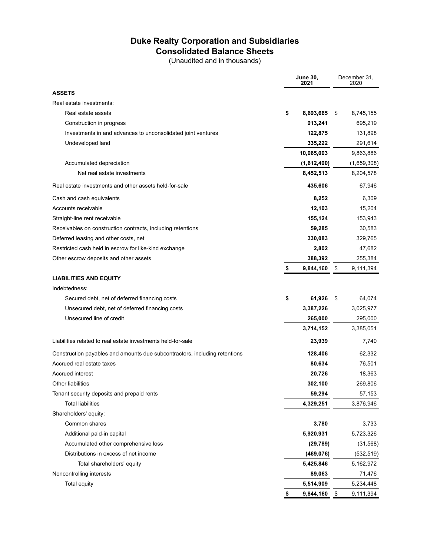# **Duke Realty Corporation and Subsidiaries Consolidated Balance Sheets**

(Unaudited and in thousands)

|                                                                            | <b>June 30,</b><br>2021 |             | December 31,<br>2020 |
|----------------------------------------------------------------------------|-------------------------|-------------|----------------------|
| <b>ASSETS</b>                                                              |                         |             |                      |
| Real estate investments:                                                   |                         |             |                      |
| Real estate assets                                                         | \$                      | 8,693,665   | \$<br>8,745,155      |
| Construction in progress                                                   |                         | 913,241     | 695,219              |
| Investments in and advances to unconsolidated joint ventures               |                         | 122,875     | 131,898              |
| Undeveloped land                                                           |                         | 335,222     | 291,614              |
|                                                                            |                         | 10,065,003  | 9,863,886            |
| Accumulated depreciation                                                   |                         | (1,612,490) | (1,659,308)          |
| Net real estate investments                                                |                         | 8,452,513   | 8,204,578            |
| Real estate investments and other assets held-for-sale                     |                         | 435,606     | 67,946               |
| Cash and cash equivalents                                                  |                         | 8,252       | 6,309                |
| Accounts receivable                                                        |                         | 12,103      | 15,204               |
| Straight-line rent receivable                                              |                         | 155,124     | 153,943              |
| Receivables on construction contracts, including retentions                |                         | 59,285      | 30,583               |
| Deferred leasing and other costs, net                                      |                         | 330,083     | 329,765              |
| Restricted cash held in escrow for like-kind exchange                      |                         | 2,802       | 47,682               |
| Other escrow deposits and other assets                                     |                         | 388,392     | 255,384              |
|                                                                            | S                       | 9,844,160   | \$<br>9,111,394      |
| <b>LIABILITIES AND EQUITY</b>                                              |                         |             |                      |
| Indebtedness:                                                              |                         |             |                      |
| Secured debt, net of deferred financing costs                              | \$                      | 61,926      | \$<br>64,074         |
| Unsecured debt, net of deferred financing costs                            |                         | 3,387,226   | 3,025,977            |
| Unsecured line of credit                                                   |                         | 265,000     | 295,000              |
|                                                                            |                         | 3,714,152   | 3,385,051            |
| Liabilities related to real estate investments held-for-sale               |                         | 23,939      | 7,740                |
| Construction payables and amounts due subcontractors, including retentions |                         | 128,406     | 62,332               |
| Accrued real estate taxes                                                  |                         | 80,634      | 76,501               |
| <b>Accrued interest</b>                                                    |                         | 20,726      | 18,363               |
| Other liabilities                                                          |                         | 302,100     | 269,806              |
| Tenant security deposits and prepaid rents                                 |                         | 59,294      | 57,153               |
| <b>Total liabilities</b>                                                   |                         | 4,329,251   | 3,876,946            |
| Shareholders' equity:                                                      |                         |             |                      |
| Common shares                                                              |                         | 3,780       | 3,733                |
| Additional paid-in capital                                                 |                         | 5,920,931   | 5,723,326            |
| Accumulated other comprehensive loss                                       |                         | (29, 789)   | (31, 568)            |
| Distributions in excess of net income                                      |                         | (469, 076)  | (532, 519)           |
| Total shareholders' equity                                                 |                         | 5,425,846   | 5,162,972            |
| Noncontrolling interests                                                   |                         | 89,063      | 71,476               |
| Total equity                                                               |                         | 5,514,909   | 5,234,448            |
|                                                                            | \$                      | 9,844,160   | \$<br>9,111,394      |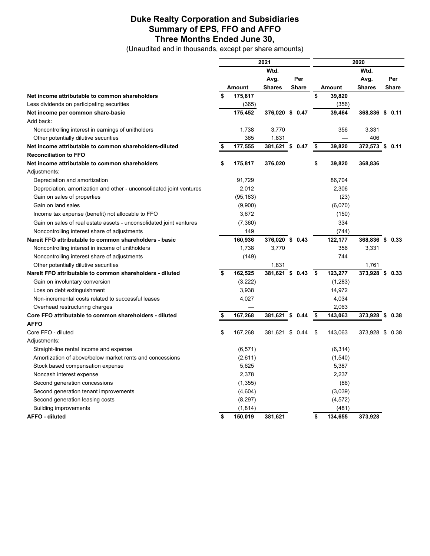#### **Duke Realty Corporation and Subsidiaries Summary of EPS, FFO and AFFO Three Months Ended June 30,**

(Unaudited and in thousands, except per share amounts)

|                                                                      |    | 2021      |                 |    |              | 2020 |               |                 |     |              |
|----------------------------------------------------------------------|----|-----------|-----------------|----|--------------|------|---------------|-----------------|-----|--------------|
|                                                                      |    |           | Wtd.            |    |              |      |               | Wtd.            |     |              |
|                                                                      |    |           | Avg.            |    | Per          |      |               | Avg.            |     | Per          |
|                                                                      |    | Amount    | <b>Shares</b>   |    | <b>Share</b> |      | <b>Amount</b> | <b>Shares</b>   |     | <b>Share</b> |
| Net income attributable to common shareholders                       | \$ | 175,817   |                 |    |              | \$   | 39,820        |                 |     |              |
| Less dividends on participating securities                           |    | (365)     |                 |    |              |      | (356)         |                 |     |              |
| Net income per common share-basic                                    |    | 175,452   | 376,020 \$ 0.47 |    |              |      | 39.464        | 368,836 \$ 0.11 |     |              |
| Add back:                                                            |    |           |                 |    |              |      |               |                 |     |              |
| Noncontrolling interest in earnings of unitholders                   |    | 1,738     | 3,770           |    |              |      | 356           | 3,331           |     |              |
| Other potentially dilutive securities                                |    | 365       | 1,831           |    |              |      |               | 406             |     |              |
| Net income attributable to common shareholders-diluted               | S  | 177,555   | 381,621 \$ 0.47 |    |              | \$   | 39,820        | 372,573         | \$  | 0.11         |
| <b>Reconciliation to FFO</b>                                         |    |           |                 |    |              |      |               |                 |     |              |
| Net income attributable to common shareholders                       | \$ | 175,817   | 376,020         |    |              | \$   | 39,820        | 368,836         |     |              |
| Adjustments:                                                         |    |           |                 |    |              |      |               |                 |     |              |
| Depreciation and amortization                                        |    | 91,729    |                 |    |              |      | 86,704        |                 |     |              |
| Depreciation, amortization and other - unconsolidated joint ventures |    | 2,012     |                 |    |              |      | 2,306         |                 |     |              |
| Gain on sales of properties                                          |    | (95, 183) |                 |    |              |      | (23)          |                 |     |              |
| Gain on land sales                                                   |    | (9,900)   |                 |    |              |      | (6,070)       |                 |     |              |
| Income tax expense (benefit) not allocable to FFO                    |    | 3,672     |                 |    |              |      | (150)         |                 |     |              |
| Gain on sales of real estate assets - unconsolidated joint ventures  |    | (7,360)   |                 |    |              |      | 334           |                 |     |              |
| Noncontrolling interest share of adjustments                         |    | 149       |                 |    |              |      | (744)         |                 |     |              |
| Nareit FFO attributable to common shareholders - basic               |    | 160,936   | 376,020 \$ 0.43 |    |              |      | 122,177       | 368,836 \$ 0.33 |     |              |
| Noncontrolling interest in income of unitholders                     |    | 1,738     | 3,770           |    |              |      | 356           | 3,331           |     |              |
| Noncontrolling interest share of adjustments                         |    | (149)     |                 |    |              |      | 744           |                 |     |              |
| Other potentially dilutive securities                                |    |           | 1,831           |    |              |      |               | 1,761           |     |              |
| Nareit FFO attributable to common shareholders - diluted             | \$ | 162,525   | 381,621 \$ 0.43 |    |              | - \$ | 123,277       | 373,928 \$      |     | 0.33         |
| Gain on involuntary conversion                                       |    | (3,222)   |                 |    |              |      | (1,283)       |                 |     |              |
| Loss on debt extinguishment                                          |    | 3,938     |                 |    |              |      | 14,972        |                 |     |              |
| Non-incremental costs related to successful leases                   |    | 4,027     |                 |    |              |      | 4,034         |                 |     |              |
| Overhead restructuring charges                                       |    |           |                 |    |              |      | 2,063         |                 |     |              |
| Core FFO attributable to common shareholders - diluted               | \$ | 167,268   | 381,621         | \$ | 0.44         | \$   | 143,063       | 373,928         | -\$ | 0.38         |
| <b>AFFO</b>                                                          |    |           |                 |    |              |      |               |                 |     |              |
| Core FFO - diluted                                                   | \$ | 167,268   | 381,621 \$      |    | 0.44         | \$   | 143,063       | 373,928 \$      |     | 0.38         |
| Adjustments:                                                         |    |           |                 |    |              |      |               |                 |     |              |
| Straight-line rental income and expense                              |    | (6, 571)  |                 |    |              |      | (6, 314)      |                 |     |              |
| Amortization of above/below market rents and concessions             |    | (2,611)   |                 |    |              |      | (1,540)       |                 |     |              |
| Stock based compensation expense                                     |    | 5,625     |                 |    |              |      | 5,387         |                 |     |              |
| Noncash interest expense                                             |    | 2,378     |                 |    |              |      | 2,237         |                 |     |              |
| Second generation concessions                                        |    | (1,355)   |                 |    |              |      | (86)          |                 |     |              |
| Second generation tenant improvements                                |    | (4,604)   |                 |    |              |      | (3,039)       |                 |     |              |
| Second generation leasing costs                                      |    | (8, 297)  |                 |    |              |      | (4, 572)      |                 |     |              |
| <b>Building improvements</b>                                         |    | (1, 814)  |                 |    |              |      | (481)         |                 |     |              |
| AFFO - diluted                                                       | \$ | 150,019   | 381,621         |    |              | \$   | 134,655       | 373.928         |     |              |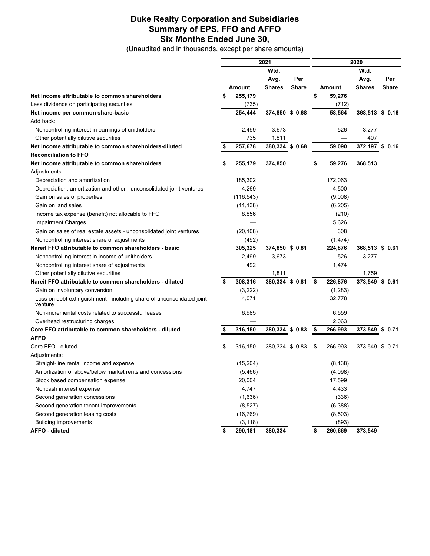#### **Duke Realty Corporation and Subsidiaries Summary of EPS, FFO and AFFO Six Months Ended June 30,**

(Unaudited and in thousands, except per share amounts)

|                                                                                  | 2021 |            |                 | 2020         |      |          |                 |            |
|----------------------------------------------------------------------------------|------|------------|-----------------|--------------|------|----------|-----------------|------------|
|                                                                                  |      | Wtd.       |                 |              | Wtd. |          |                 |            |
|                                                                                  |      |            | Avg.            | Per          |      |          | Avg.            | Per        |
|                                                                                  |      | Amount     | <b>Shares</b>   | <b>Share</b> |      | Amount   | <b>Shares</b>   | Share      |
| Net income attributable to common shareholders                                   | \$   | 255,179    |                 |              | \$   | 59,276   |                 |            |
| Less dividends on participating securities                                       |      | (735)      |                 |              |      | (712)    |                 |            |
| Net income per common share-basic                                                |      | 254,444    | 374,850 \$ 0.68 |              |      | 58,564   | 368,513 \$ 0.16 |            |
| Add back:                                                                        |      |            |                 |              |      |          |                 |            |
| Noncontrolling interest in earnings of unitholders                               |      | 2,499      | 3,673           |              |      | 526      | 3,277           |            |
| Other potentially dilutive securities                                            |      | 735        | 1,811           |              |      |          | 407             |            |
| Net income attributable to common shareholders-diluted                           | \$   | 257,678    | 380,334         | \$0.68       |      | 59,090   | 372,197 \$ 0.16 |            |
| <b>Reconciliation to FFO</b>                                                     |      |            |                 |              |      |          |                 |            |
| Net income attributable to common shareholders                                   | \$   | 255,179    | 374,850         |              | \$   | 59,276   | 368,513         |            |
| Adjustments:                                                                     |      |            |                 |              |      |          |                 |            |
| Depreciation and amortization                                                    |      | 185,302    |                 |              |      | 172,063  |                 |            |
| Depreciation, amortization and other - unconsolidated joint ventures             |      | 4,269      |                 |              |      | 4,500    |                 |            |
| Gain on sales of properties                                                      |      | (116, 543) |                 |              |      | (9,008)  |                 |            |
| Gain on land sales                                                               |      | (11, 138)  |                 |              |      | (6, 205) |                 |            |
| Income tax expense (benefit) not allocable to FFO                                |      | 8,856      |                 |              |      | (210)    |                 |            |
| <b>Impairment Charges</b>                                                        |      |            |                 |              |      | 5,626    |                 |            |
| Gain on sales of real estate assets - unconsolidated joint ventures              |      | (20, 108)  |                 |              |      | 308      |                 |            |
| Noncontrolling interest share of adjustments                                     |      | (492)      |                 |              |      | (1, 474) |                 |            |
| Nareit FFO attributable to common shareholders - basic                           |      | 305,325    | 374,850 \$ 0.81 |              |      | 224,876  | 368,513 \$ 0.61 |            |
| Noncontrolling interest in income of unitholders                                 |      | 2,499      | 3,673           |              |      | 526      | 3,277           |            |
| Noncontrolling interest share of adjustments                                     |      | 492        |                 |              |      | 1,474    |                 |            |
| Other potentially dilutive securities                                            |      |            | 1,811           |              |      |          | 1,759           |            |
| Nareit FFO attributable to common shareholders - diluted                         | \$   | 308,316    | 380,334 \$ 0.81 |              | \$   | 226,876  | 373,549 \$ 0.61 |            |
| Gain on involuntary conversion                                                   |      | (3,222)    |                 |              |      | (1,283)  |                 |            |
| Loss on debt extinguishment - including share of unconsolidated joint<br>venture |      | 4,071      |                 |              |      | 32,778   |                 |            |
| Non-incremental costs related to successful leases                               |      | 6,985      |                 |              |      | 6,559    |                 |            |
| Overhead restructuring charges                                                   |      |            |                 |              |      | 2,063    |                 |            |
| Core FFO attributable to common shareholders - diluted                           | \$   | 316,150    | 380,334         | \$0.83       | - \$ | 266,993  | 373,549         | \$<br>0.71 |
| <b>AFFO</b>                                                                      |      |            |                 |              |      |          |                 |            |
| Core FFO - diluted                                                               | \$   | 316,150    | 380,334 \$ 0.83 |              | \$   | 266,993  | 373,549 \$ 0.71 |            |
| Adjustments:                                                                     |      |            |                 |              |      |          |                 |            |
| Straight-line rental income and expense                                          |      | (15, 204)  |                 |              |      | (8, 138) |                 |            |
| Amortization of above/below market rents and concessions                         |      | (5,466)    |                 |              |      | (4,098)  |                 |            |
| Stock based compensation expense                                                 |      | 20,004     |                 |              |      | 17,599   |                 |            |
| Noncash interest expense                                                         |      | 4,747      |                 |              |      | 4,433    |                 |            |
| Second generation concessions                                                    |      | (1,636)    |                 |              |      | (336)    |                 |            |
| Second generation tenant improvements                                            |      | (8,527)    |                 |              |      | (6,388)  |                 |            |
| Second generation leasing costs                                                  |      | (16, 769)  |                 |              |      | (8,503)  |                 |            |
| <b>Building improvements</b>                                                     |      | (3, 118)   |                 |              |      | (893)    |                 |            |
| <b>AFFO</b> - diluted                                                            | \$   | 290,181    | 380,334         |              | \$   | 260,669  | 373,549         |            |